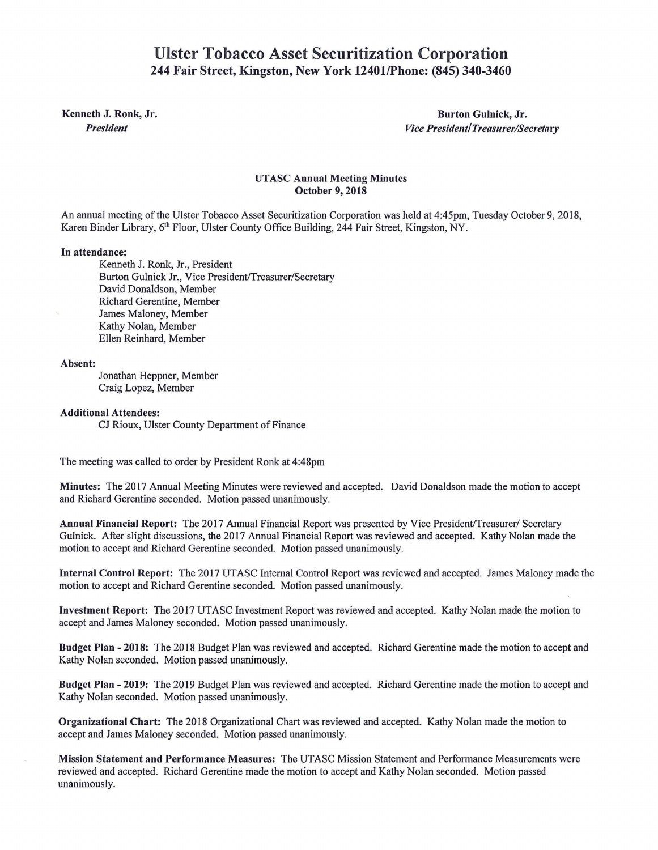# **Ulster Tobacco** Asset **Securitization Corporation**  244 Fair Street, Kingston, New York 12401/Phone: (845) 340-3460

Kenneth J. Ronk, Jr. **Burton Gulnick, Jr. Burton Gulnick**, Jr. Burton Gulnick, Jr. *President Vice President/Treasurer/Secretary* 

## UT ASC Annual Meeting Minutes October 9, 2018

An annual meeting of the Ulster Tobacco Asset Securitization Corporation was held at 4:45pm, Tuesday October 9, 2018, Karen Binder Library, 6<sup>th</sup> Floor, Ulster County Office Building, 244 Fair Street, Kingston, NY.

### In attendance:

Kenneth J. Ronk, Jr., President Burton Gulnick Jr., Vice President/Treasurer/Secretary David Donaldson, Member Richard Gerentine, Member James Maloney, Member Kathy Nolan, Member Ellen Reinhard, Member

#### Absent:

Jonathan Heppner, Member Craig Lopez, Member

#### Additional Attendees:

CJ Rioux, Ulster County Department of Finance

The meeting was called to order by President Ronk at 4:48pm

Minutes: The 2017 Annual Meeting Minutes were reviewed and accepted. David Donaldson made the motion to accept and Richard Gerentine seconded. Motion passed unanimously.

Annual Financial Report: The 2017 Annual Financial Report was presented by Vice President/Treasurer/ Secretary Gulnick. After slight discussions, the 2017 Annual Financial Report was reviewed and accepted. Kathy Nolan made the motion to accept and Richard Gerentine seconded. Motion passed unanimously.

Internal Control Report: The 2017 UTASC Internal Control Report was reviewed and accepted. James Maloney made the motion to accept and Richard Gerentine seconded. Motion passed unanimously.

Investment Report: The 2017 UT ASC Investment Report was reviewed and accepted. Kathy Nolan made the motion to accept and James Maloney seconded. Motion passed unanimously.

Budget Plan- 2018: The 2018 Budget Plan was reviewed and accepted. Richard Gerentine made the motion to accept and Kathy Nolan seconded. Motion passed unanimously.

Budget Plan- 2019: The 2019 Budget Plan was reviewed and accepted. Richard Gerentine made the motion to accept and Kathy Nolan seconded. Motion passed unanimously.

Organizational Chart: The 2018 Organizational Chart was reviewed and accepted. Kathy Nolan made the motion to accept and James Maloney seconded. Motion passed unanimously.

Mission Statement and Performance Measures: The UT ASC Mission Statement and Performance Measurements were reviewed and accepted. Richard Gerentine made the motion to accept and Kathy Nolan seconded. Motion passed unanimously.